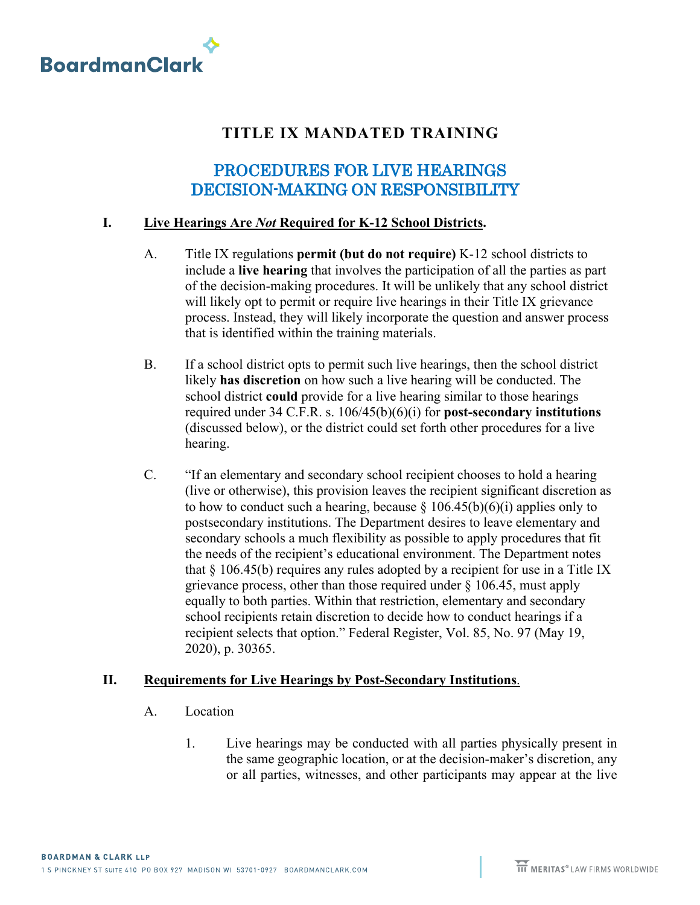

## **TITLE IX MANDATED TRAINING**

## PROCEDURES FOR LIVE HEARINGS DECISION-MAKING ON RESPONSIBILITY

## **I. Live Hearings Are** *Not* **Required for K-12 School Districts.**

- A. Title IX regulations **permit (but do not require)** K-12 school districts to include a **live hearing** that involves the participation of all the parties as part of the decision-making procedures. It will be unlikely that any school district will likely opt to permit or require live hearings in their Title IX grievance process. Instead, they will likely incorporate the question and answer process that is identified within the training materials.
- B. If a school district opts to permit such live hearings, then the school district likely **has discretion** on how such a live hearing will be conducted. The school district **could** provide for a live hearing similar to those hearings required under 34 C.F.R. s. 106/45(b)(6)(i) for **post-secondary institutions** (discussed below), or the district could set forth other procedures for a live hearing.
- C. "If an elementary and secondary school recipient chooses to hold a hearing (live or otherwise), this provision leaves the recipient significant discretion as to how to conduct such a hearing, because  $\S 106.45(b)(6)(i)$  applies only to postsecondary institutions. The Department desires to leave elementary and secondary schools a much flexibility as possible to apply procedures that fit the needs of the recipient's educational environment. The Department notes that  $\S$  106.45(b) requires any rules adopted by a recipient for use in a Title IX grievance process, other than those required under § 106.45, must apply equally to both parties. Within that restriction, elementary and secondary school recipients retain discretion to decide how to conduct hearings if a recipient selects that option." Federal Register, Vol. 85, No. 97 (May 19, 2020), p. 30365.

## **II. Requirements for Live Hearings by Post-Secondary Institutions**.

- A. Location
	- 1. Live hearings may be conducted with all parties physically present in the same geographic location, or at the decision-maker's discretion, any or all parties, witnesses, and other participants may appear at the live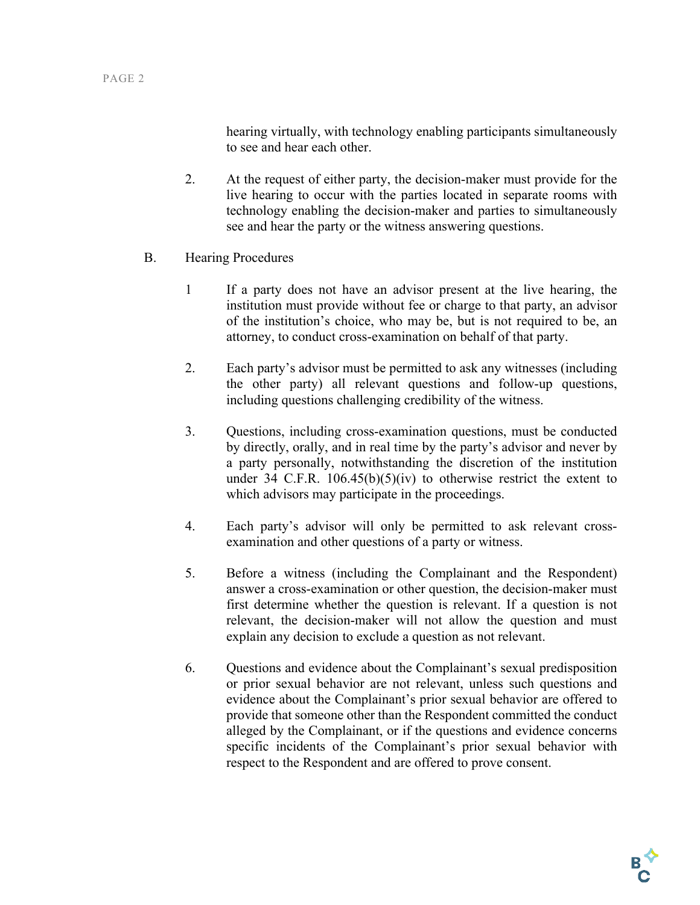hearing virtually, with technology enabling participants simultaneously to see and hear each other.

- 2. At the request of either party, the decision-maker must provide for the live hearing to occur with the parties located in separate rooms with technology enabling the decision-maker and parties to simultaneously see and hear the party or the witness answering questions.
- B. Hearing Procedures
	- 1 If a party does not have an advisor present at the live hearing, the institution must provide without fee or charge to that party, an advisor of the institution's choice, who may be, but is not required to be, an attorney, to conduct cross-examination on behalf of that party.
	- 2. Each party's advisor must be permitted to ask any witnesses (including the other party) all relevant questions and follow-up questions, including questions challenging credibility of the witness.
	- 3. Questions, including cross-examination questions, must be conducted by directly, orally, and in real time by the party's advisor and never by a party personally, notwithstanding the discretion of the institution under 34 C.F.R. 106.45(b)(5)(iv) to otherwise restrict the extent to which advisors may participate in the proceedings.
	- 4. Each party's advisor will only be permitted to ask relevant crossexamination and other questions of a party or witness.
	- 5. Before a witness (including the Complainant and the Respondent) answer a cross-examination or other question, the decision-maker must first determine whether the question is relevant. If a question is not relevant, the decision-maker will not allow the question and must explain any decision to exclude a question as not relevant.
	- 6. Questions and evidence about the Complainant's sexual predisposition or prior sexual behavior are not relevant, unless such questions and evidence about the Complainant's prior sexual behavior are offered to provide that someone other than the Respondent committed the conduct alleged by the Complainant, or if the questions and evidence concerns specific incidents of the Complainant's prior sexual behavior with respect to the Respondent and are offered to prove consent.